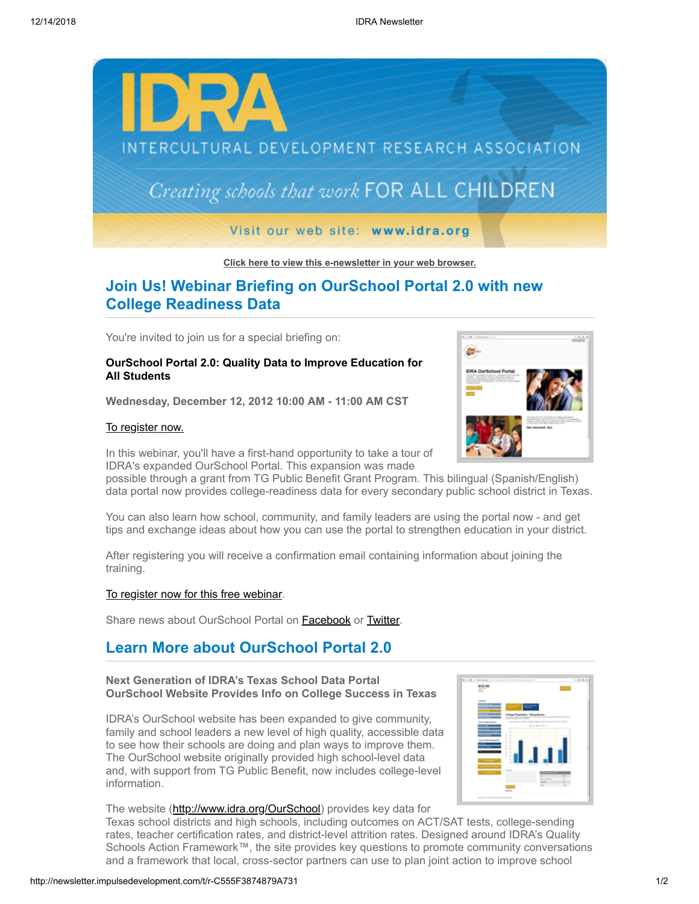

**[Click here to view this e-newsletter in your web browser.](http://newsletter.impulsedevelopment.com/t/r-e-uyxhtt-l-r/)**

# **Join Us! Webinar Briefing on OurSchool Portal 2.0 with new College Readiness Data**

You're invited to join us for a special briefing on:

## **OurSchool Portal 2.0: Quality Data to Improve Education for All Students**

**Wednesday, December 12, 2012 10:00 AM - 11:00 AM CST**

### [To register now.](http://newsletter.impulsedevelopment.com/t/r-l-uyxhtt-l-i/)

In this webinar, you'll have a first-hand opportunity to take a tour of IDRA's expanded OurSchool Portal. This expansion was made

possible through a grant from TG Public Benefit Grant Program. This bilingual (Spanish/English) data portal now provides college-readiness data for every secondary public school district in Texas.

You can also learn how school, community, and family leaders are using the portal now - and get tips and exchange ideas about how you can use the portal to strengthen education in your district.

After registering you will receive a confirmation email containing information about joining the training.

### [To register now for this free webinar](http://newsletter.impulsedevelopment.com/t/r-l-uyxhtt-l-d/).

Share news about OurSchool Portal on **Facebook** or **[Twitter](http://newsletter.impulsedevelopment.com/t/r-tw-uyxhtt-l-q/)**.

# **Learn More about OurSchool Portal 2.0**

## **Next Generation of IDRA's Texas School Data Portal OurSchool Website Provides Info on College Success in Texas**

IDRA's OurSchool website has been expanded to give community, family and school leaders a new level of high quality, accessible data to see how their schools are doing and plan ways to improve them. The OurSchool website originally provided high school-level data and, with support from TG Public Benefit, now includes college-level information.



Texas school districts and high schools, including outcomes on ACT/SAT tests, college-sending rates, teacher certification rates, and district-level attrition rates. Designed around IDRA's Quality Schools Action Framework™, the site provides key questions to promote community conversations and a framework that local, cross-sector partners can use to plan joint action to improve school